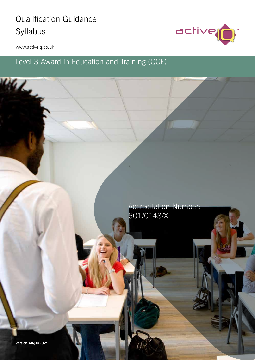# **Qualification Guidance** Syllabus



www.activeiq.co.uk

Wales

## Level 3 Award in Education and Training (QCF)

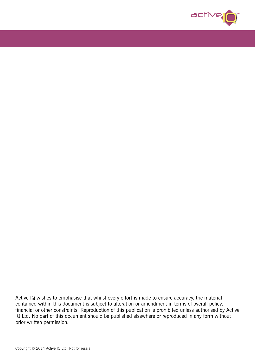

Active IQ wishes to emphasise that whilst every effort is made to ensure accuracy, the material contained within this document is subject to alteration or amendment in terms of overall policy, financial or other constraints. Reproduction of this publication is prohibited unless authorised by Active IQ Ltd. No part of this document should be published elsewhere or reproduced in any form without prior written permission.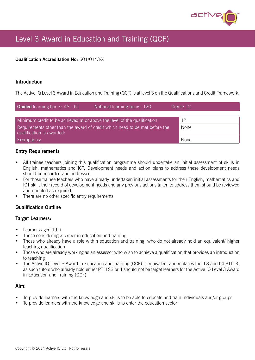

## Level 3 Award in Education and Training (QCF)

### Qualification Accreditation No: 601/0143/X

## Introduction

The Active IQ Level 3 Award in Education and Training (QCF) is at level 3 on the Qualifications and Credit Framework.

| <b>Guided</b> learning hours: 48 - 61                                                                    | Notional learning hours: 120 | Credit: 12 |  |
|----------------------------------------------------------------------------------------------------------|------------------------------|------------|--|
|                                                                                                          |                              |            |  |
| Minimum credit to be achieved at or above the level of the qualification                                 |                              | 12         |  |
| Requirements other than the award of credit which need to be met before the<br>qualification is awarded: | None                         |            |  |
| <b>Exemptions:</b>                                                                                       |                              | None       |  |

#### Entry Requirements

- All trainee teachers joining this qualification programme should undertake an initial assessment of skills in English, mathematics and ICT. Development needs and action plans to address these development needs should be recorded and addressed.
- For those trainee teachers who have already undertaken initial assessments for their English, mathematics and ICT skill, their record of development needs and any previous actions taken to address them should be reviewed and updated as required.
- There are no other specific entry requirements

## Qualification Outline

#### Target Learners:

- Learners aged  $19 +$
- Those considering a career in education and training
- Those who already have a role within education and training, who do not already hold an equivalent/ higher teaching qualification
- Those who are already working as an assessor who wish to achieve a qualification that provides an introduction to teaching
- The Active IQ Level 3 Award in Education and Training (QCF) is equivalent and replaces the L3 and L4 PTLLS, as such tutors who already hold either PTLLS3 or 4 should not be target learners for the Active IQ Level 3 Award in Education and Training (QCF)

#### Aim:

- To provide learners with the knowledge and skills to be able to educate and train individuals and/or groups
- To provide learners with the knowledge and skills to enter the education sector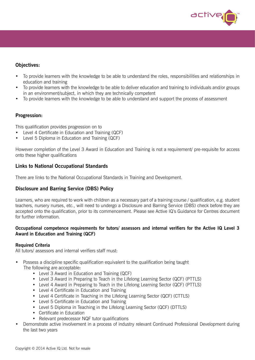

## Objectives:

- To provide learners with the knowledge to be able to understand the roles, responsibilities and relationships in education and training
- To provide learners with the knowledge to be able to deliver education and training to individuals and/or groups in an environment/subject, in which they are technically competent
- To provide learners with the knowledge to be able to understand and support the process of assessment

## Progression:

This qualification provides progression on to

- Level 4 Certificate in Education and Training (QCF)
- Level 5 Diploma in Education and Training (QCF)

However completion of the Level 3 Award in Education and Training is not a requirement/ pre-requisite for access onto these higher qualifications

## Links to National Occupational Standards

There are links to the National Occupational Standards in Training and Development.

## Disclosure and Barring Service (DBS) Policy

Learners, who are required to work with children as a necessary part of a training course / qualification, e.g. student teachers, nursery nurses, etc., will need to undergo a Disclosure and Barring Service (DBS) check before they are accepted onto the qualification, prior to its commencement. Please see Active IQ's Guidance for Centres document for further information.

#### Occupational competence requirements for tutors/ assessors and internal verifiers for the Active IQ Level 3 Award in Education and Training (QCF)

#### Required Criteria

All tutors/ assessors and internal verifiers staff must:

- Possess a discipline specific qualification equivalent to the qualification being taught The following are acceptable:
	- Level 3 Award in Education and Training (QCF)
	- Level 3 Award in Preparing to Teach in the Lifelong Learning Sector (QCF) (PTTLS)
	- Level 4 Award in Preparing to Teach in the Lifelong Learning Sector (QCF) (PTTLS)
	- Level 4 Certificate in Education and Training
	- Level 4 Certificate in Teaching in the Lifelong Learning Sector (QCF) (CTTLS)
	- Level 5 Certificate in Education and Training
	- Level 5 Diploma in Teaching in the Lifelong Learning Sector (QCF) (DTTLS)
	- Certificate in Education
	- Relevant predecessor NQF tutor qualifications
- Demonstrate active involvement in a process of industry relevant Continued Professional Development during the last two years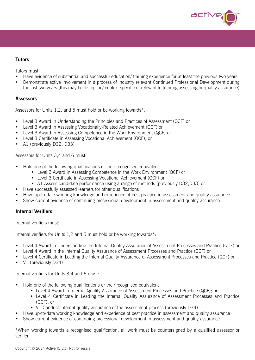

### **Tutors**

Tutors must:

- Have evidence of substantial and successful education/ training experience for at least the previous two years
- Demonstrate active involvement in a process of industry relevant Continued Professional Development during the last two years (this may be discipline/ context specific or relevant to tutoring assessing or quality assurance)

#### **Assessors**

Assessors for Units 1,2, and 5 must hold or be working towards\*:

- Level 3 Award in Understanding the Principles and Practices of Assessment (QCF) or
- Level 3 Award in Assessing Vocationally-Related Achievement (QCF) or
- Level 3 Award in Assessing Competence in the Work Environment (QCF) or
- Level 3 Certificate in Assessing Vocational Achievement (QCF), or
- A1 (previously D32, D33)

Assessors for Units 3,4 and 6 must:

- Hold one of the following qualifications or their recognised equivalent
	- Level 3 Award in Assessing Competence in the Work Environment (QCF) or
	- Level 3 Certificate in Assessing Vocational Achievement (QCF) or
	- A1 Assess candidate performance using a range of methods (previously D32,D33) or
- Have successfully assessed learners for other qualifications
- Have up-to-date working knowledge and experience of best practice in assessment and quality assurance
- Show current evidence of continuing professional development in assessment and quality assurance

## Internal Verifiers

Internal verifiers must:

Internal verifiers for Units 1,2 and 5 must hold or be working towards\*:

- Level 4 Award in Understanding the Internal Quality Assurance of Assessment Processes and Practice (QCF) or
- Level 4 Award in the Internal Quality Assurance of Assessment Processes and Practice (QCF) or
- Level 4 Certificate in Leading the Internal Quality Assurance of Assessment Processes and Practice (QCF) or
- V1 (previously D34)

Internal verifiers for Units 3,4 and 6 must:

- Hold one of the following qualifications or their recognised equivalent
	- Level 4 Award in Internal Quality Assurance of Assessment Processes and Practice (QCF); or
	- Level 4 Certificate in Leading the Internal Quality Assurance of Assessment Processes and Practice (QCF); or
	- V1 Conduct internal quality assurance of the assessment process (previously D34)
- Have up-to-date working knowledge and experience of best practice in assessment and quality assurance
- Show current evidence of continuing professional development in assessment and quality assurance

\*When working towards a recognised qualification, all work must be countersigned by a qualified assessor or verifier.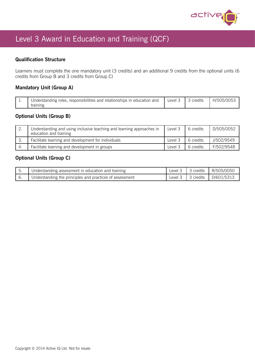

## Level 3 Award in Education and Training (QCF)

## Qualification Structure

Learners must complete the one mandatory unit (3 credits) and an additional 9 credits from the optional units (6 credits from Group B and 3 credits from Group C)

## Mandatory Unit (Group A)

| <b>. .</b> | responsibilities and<br>relationships in<br>Jnderstanding roles.<br>and<br>education<br>training | Level | credits | H/505/I |
|------------|--------------------------------------------------------------------------------------------------|-------|---------|---------|
|------------|--------------------------------------------------------------------------------------------------|-------|---------|---------|

## Optional Units (Group B)

| <u>.</u> | Understanding and using inclusive teaching and learning approaches in<br>education and training | Level 3 | 6 credits | D/505/0052 |
|----------|-------------------------------------------------------------------------------------------------|---------|-----------|------------|
|          | Facilitate learning and development for individuals                                             | Level 3 | 6 credits | U/502/9549 |
|          | Facilitate learning and development in groups                                                   | Level 3 | 6 credits | F/502/9548 |

## Optional Units (Group C)

| Understanding assessment in education and training       | Level $3 \mid 3$ credits | R/505/0050 |
|----------------------------------------------------------|--------------------------|------------|
| Understanding the principles and practices of assessment | Level $3 \mid 3$ credits | D/601/5313 |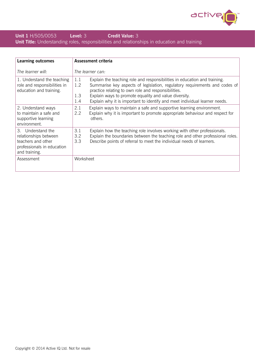

## **Unit 1 H/505/0053 Level: 3 Credit Value: 3** Unit Title: Understanding roles, responsibilities and relationships in education and training

| <b>Learning outcomes</b>                                                                                        | Assessment criteria                                                                                                                                                                                                                                                                                                                                                               |
|-----------------------------------------------------------------------------------------------------------------|-----------------------------------------------------------------------------------------------------------------------------------------------------------------------------------------------------------------------------------------------------------------------------------------------------------------------------------------------------------------------------------|
| The learner will:                                                                                               | The learner can:                                                                                                                                                                                                                                                                                                                                                                  |
| 1. Understand the teaching<br>role and responsibilities in<br>education and training.                           | Explain the teaching role and responsibilities in education and training.<br>1.1<br>1.2<br>Summarise key aspects of legislation, regulatory requirements and codes of<br>practice relating to own role and responsibilities.<br>1.3<br>Explain ways to promote equality and value diversity.<br>Explain why it is important to identify and meet individual learner needs.<br>1.4 |
| 2. Understand ways<br>to maintain a safe and<br>supportive learning<br>environment.                             | 2.1<br>Explain ways to maintain a safe and supportive learning environment.<br>2.2<br>Explain why it is important to promote appropriate behaviour and respect for<br>others.                                                                                                                                                                                                     |
| 3. Understand the<br>relationships between<br>teachers and other<br>professionals in education<br>and training. | 3.1<br>Explain how the teaching role involves working with other professionals.<br>3.2<br>Explain the boundaries between the teaching role and other professional roles.<br>Describe points of referral to meet the individual needs of learners.<br>3.3                                                                                                                          |
| Assessment                                                                                                      | Worksheet                                                                                                                                                                                                                                                                                                                                                                         |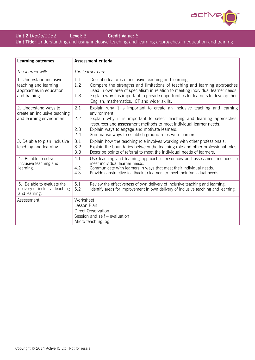

## **Unit 2 D/505/0052 Level: 3 Credit Value: 6** Unit Title: Understanding and using inclusive teaching and learning approaches in education and training

| <b>Learning outcomes</b>                                                                     | <b>Assessment criteria</b>                                                                                                                                                                                                                                                                                                                                                        |  |
|----------------------------------------------------------------------------------------------|-----------------------------------------------------------------------------------------------------------------------------------------------------------------------------------------------------------------------------------------------------------------------------------------------------------------------------------------------------------------------------------|--|
| The learner will:                                                                            | The learner can:                                                                                                                                                                                                                                                                                                                                                                  |  |
| 1. Understand inclusive<br>teaching and learning<br>approaches in education<br>and training. | 1.1<br>Describe features of inclusive teaching and learning.<br>1.2<br>Compare the strengths and limitations of teaching and learning approaches<br>used in own area of specialism in relation to meeting individual learner needs.<br>1.3<br>Explain why it is important to provide opportunities for learners to develop their<br>English, mathematics, ICT and wider skills.   |  |
| 2. Understand ways to<br>create an inclusive teaching<br>and learning environment.           | 2.1<br>Explain why it is important to create an inclusive teaching and learning<br>environment.<br>2.2<br>Explain why it is important to select teaching and learning approaches,<br>resources and assessment methods to meet individual learner needs.<br>2.3<br>Explain ways to engage and motivate learners.<br>2.4<br>Summarise ways to establish ground rules with learners. |  |
| 3. Be able to plan inclusive<br>teaching and learning.                                       | 3.1<br>Explain how the teaching role involves working with other professionals.<br>3.2<br>Explain the boundaries between the teaching role and other professional roles.<br>3.3<br>Describe points of referral to meet the individual needs of learners.                                                                                                                          |  |
| 4. Be able to deliver<br>inclusive teaching and<br>learning.                                 | 4.1<br>Use teaching and learning approaches, resources and assessment methods to<br>meet individual learner needs.<br>4.2<br>Communicate with learners in ways that meet their individual needs.<br>4.3<br>Provide constructive feedback to learners to meet their individual needs.                                                                                              |  |
| 5. Be able to evaluate the<br>delivery of inclusive teaching<br>and learning.                | 5.1<br>Review the effectiveness of own delivery of inclusive teaching and learning.<br>5.2<br>Identify areas for improvement in own delivery of inclusive teaching and learning.                                                                                                                                                                                                  |  |
| Assessment                                                                                   | Worksheet<br>Lesson Plan<br>Direct Observation<br>Session and self - evaluation<br>Micro teaching log                                                                                                                                                                                                                                                                             |  |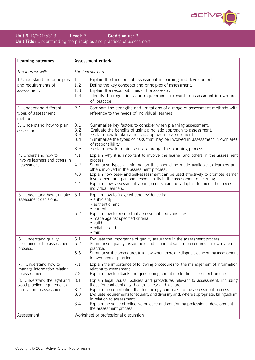

### **Unit 6** D/601/5313 **Level: 3 Credit Value: 3 Unit Title:** Understanding the principles and practices of assessment

| <b>Learning outcomes</b>                                                                | <b>Assessment criteria</b>                                                                                                                                                                                                                                                                                                                                                                                                                                                                                             |  |  |
|-----------------------------------------------------------------------------------------|------------------------------------------------------------------------------------------------------------------------------------------------------------------------------------------------------------------------------------------------------------------------------------------------------------------------------------------------------------------------------------------------------------------------------------------------------------------------------------------------------------------------|--|--|
| The learner will:                                                                       | The learner can:                                                                                                                                                                                                                                                                                                                                                                                                                                                                                                       |  |  |
| 1. Understand the principles<br>and requirements of<br>assessment.                      | 1.1<br>Explain the functions of assessment in learning and development.<br>1.2<br>Define the key concepts and principles of assessment.<br>1.3<br>Explain the responsibilities of the assessor.<br>Identify the regulations and requirements relevant to assessment in own area<br>1.4<br>of practice.                                                                                                                                                                                                                 |  |  |
| 2. Understand different<br>types of assessment<br>method.                               | 2.1<br>Compare the strengths and limitations of a range of assessment methods with<br>reference to the needs of individual learners.                                                                                                                                                                                                                                                                                                                                                                                   |  |  |
| 3. Understand how to plan<br>assessment.                                                | 3.1<br>Summarise key factors to consider when planning assessment.<br>3.2<br>Evaluate the benefits of using a holistic approach to assessment.<br>3.3<br>Explain how to plan a holistic approach to assessment.<br>3.4<br>Summarise the types of risks that may be involved in assessment in own area<br>of responsibility.<br>3.5<br>Explain how to minimise risks through the planning process.                                                                                                                      |  |  |
| 4. Understand how to<br>involve learners and others in<br>assessment.                   | 4.1<br>Explain why it is important to involve the learner and others in the assessment<br>process.<br>4.2<br>Summarise types of information that should be made available to learners and<br>others involved in the assessment process.<br>4.3<br>Explain how peer- and self-assessment can be used effectively to promote learner<br>involvement and personal responsibility in the assessment of learning.<br>Explain how assessment arrangements can be adapted to meet the needs of<br>4.4<br>individual learners. |  |  |
| 5. Understand how to make<br>assessment decisions.                                      | 5.1<br>Explain how to judge whether evidence is:<br>· sufficient;<br>• authentic; and<br>• current.<br>5.2<br>Explain how to ensure that assessment decisions are:<br>• made against specified criteria;<br>• valid;<br>· reliable; and<br>$\bullet$ fair.                                                                                                                                                                                                                                                             |  |  |
| 6. Understand quality<br>assurance of the assessment<br>process.                        | 6.1<br>Evaluate the importance of quality assurance in the assessment process.<br>6.2<br>Summarise quality assurance and standardisation procedures in own area of<br>practice.<br>6.3<br>Summarise the procedures to follow when there are disputes concerning assessment<br>in own area of practice.                                                                                                                                                                                                                 |  |  |
| 7. Understand how to<br>manage information relating<br>to assessment.                   | 7.1<br>Explain the importance of following procedures for the management of information<br>relating to assessment.<br>Explain how feedback and questioning contribute to the assessment process.<br>7.2                                                                                                                                                                                                                                                                                                                |  |  |
| 8. Understand the legal and<br>good practice requirements<br>in relation to assessment. | 8.1<br>Explain legal issues, policies and procedures relevant to assessment, including<br>those for confidentiality, health, safety and welfare.<br>8.2<br>Explain the contribution that technology can make to the assessment process.<br>8.3<br>Evaluate requirements for equality and diversity and, where appropriate, bilingualism<br>in relation to assessment.<br>8.4<br>Explain the value of reflective practice and continuing professional development in<br>the assessment process.                         |  |  |
| Assessment                                                                              | Worksheet or professional discussion                                                                                                                                                                                                                                                                                                                                                                                                                                                                                   |  |  |